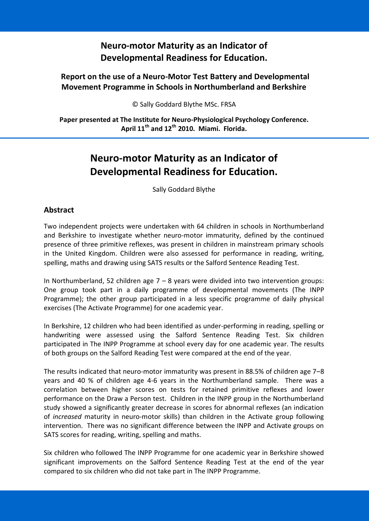## **Neuro-motor Maturity as an Indicator of Developmental Readiness for Education.**

## **Report on the use of a Neuro-Motor Test Battery and Developmental Movement Programme in Schools in Northumberland and Berkshire**

© Sally Goddard Blythe MSc. FRSA

**Paper presented at The Institute for Neuro-Physiological Psychology Conference. April 11th and 12th 2010. Miami. Florida.**

# **Neuro-motor Maturity as an Indicator of Developmental Readiness for Education.**

Sally Goddard Blythe

## **Abstract**

Two independent projects were undertaken with 64 children in schools in Northumberland and Berkshire to investigate whether neuro-motor immaturity, defined by the continued presence of three primitive reflexes, was present in children in mainstream primary schools in the United Kingdom. Children were also assessed for performance in reading, writing, spelling, maths and drawing using SATS results or the Salford Sentence Reading Test.

In Northumberland, 52 children age  $7 - 8$  years were divided into two intervention groups: One group took part in a daily programme of developmental movements (The INPP Programme); the other group participated in a less specific programme of daily physical exercises (The Activate Programme) for one academic year.

In Berkshire, 12 children who had been identified as under-performing in reading, spelling or handwriting were assessed using the Salford Sentence Reading Test. Six children participated in The INPP Programme at school every day for one academic year. The results of both groups on the Salford Reading Test were compared at the end of the year.

The results indicated that neuro-motor immaturity was present in 88.5% of children age 7–8 years and 40 % of children age 4-6 years in the Northumberland sample. There was a correlation between higher scores on tests for retained primitive reflexes and lower performance on the Draw a Person test. Children in the INPP group in the Northumberland study showed a significantly greater decrease in scores for abnormal reflexes (an indication of *increased* maturity in neuro-motor skills) than children in the Activate group following intervention. There was no significant difference between the INPP and Activate groups on SATS scores for reading, writing, spelling and maths.

Six children who followed The INPP Programme for one academic year in Berkshire showed significant improvements on the Salford Sentence Reading Test at the end of the year compared to six children who did not take part in The INPP Programme.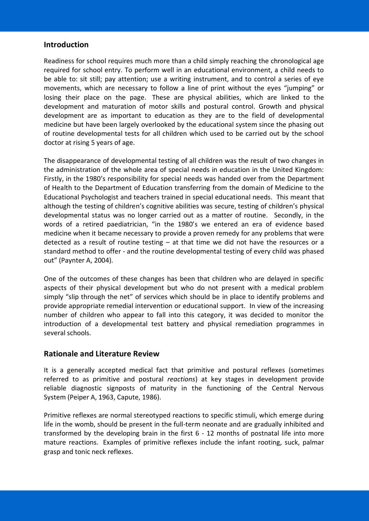## **Introduction**

Readiness for school requires much more than a child simply reaching the chronological age required for school entry. To perform well in an educational environment, a child needs to be able to: sit still; pay attention; use a writing instrument, and to control a series of eye movements, which are necessary to follow a line of print without the eyes "jumping" or losing their place on the page. These are physical abilities, which are linked to the development and maturation of motor skills and postural control. Growth and physical development are as important to education as they are to the field of developmental medicine but have been largely overlooked by the educational system since the phasing out of routine developmental tests for all children which used to be carried out by the school doctor at rising 5 years of age.

The disappearance of developmental testing of all children was the result of two changes in the administration of the whole area of special needs in education in the United Kingdom: Firstly, in the 1980's responsibility for special needs was handed over from the Department of Health to the Department of Education transferring from the domain of Medicine to the Educational Psychologist and teachers trained in special educational needs. This meant that although the testing of children's cognitive abilities was secure, testing of children's physical developmental status was no longer carried out as a matter of routine. Secondly, in the words of a retired paediatrician, "in the 1980's we entered an era of evidence based medicine when it became necessary to provide a proven remedy for any problems that were detected as a result of routine testing – at that time we did not have the resources or a standard method to offer - and the routine developmental testing of every child was phased out" (Paynter A, 2004).

One of the outcomes of these changes has been that children who are delayed in specific aspects of their physical development but who do not present with a medical problem simply "slip through the net" of services which should be in place to identify problems and provide appropriate remedial intervention or educational support. In view of the increasing number of children who appear to fall into this category, it was decided to monitor the introduction of a developmental test battery and physical remediation programmes in several schools.

#### **Rationale and Literature Review**

It is a generally accepted medical fact that primitive and postural reflexes (sometimes referred to as primitive and postural *reactions*) at key stages in development provide reliable diagnostic signposts of maturity in the functioning of the Central Nervous System (Peiper A, 1963, Capute, 1986).

Primitive reflexes are normal stereotyped reactions to specific stimuli, which emerge during life in the womb, should be present in the full-term neonate and are gradually inhibited and transformed by the developing brain in the first 6 - 12 months of postnatal life into more mature reactions. Examples of primitive reflexes include the infant rooting, suck, palmar grasp and tonic neck reflexes.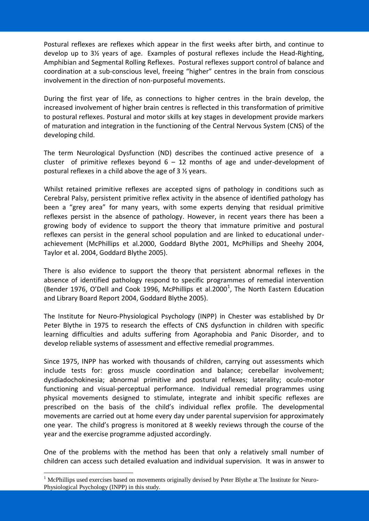Postural reflexes are reflexes which appear in the first weeks after birth, and continue to develop up to 3½ years of age. Examples of postural reflexes include the Head-Righting, Amphibian and Segmental Rolling Reflexes. Postural reflexes support control of balance and coordination at a sub-conscious level, freeing "higher" centres in the brain from conscious involvement in the direction of non-purposeful movements.

During the first year of life, as connections to higher centres in the brain develop, the increased involvement of higher brain centres is reflected in this transformation of primitive to postural reflexes. Postural and motor skills at key stages in development provide markers of maturation and integration in the functioning of the Central Nervous System (CNS) of the developing child.

The term Neurological Dysfunction (ND) describes the continued active presence of a cluster of primitive reflexes beyond  $6 - 12$  months of age and under-development of postural reflexes in a child above the age of 3 ½ years.

Whilst retained primitive reflexes are accepted signs of pathology in conditions such as Cerebral Palsy, persistent primitive reflex activity in the absence of identified pathology has been a "grey area" for many years, with some experts denying that residual primitive reflexes persist in the absence of pathology. However, in recent years there has been a growing body of evidence to support the theory that immature primitive and postural reflexes can persist in the general school population and are linked to educational underachievement (McPhillips et al.2000, Goddard Blythe 2001, McPhillips and Sheehy 2004, Taylor et al. 2004, Goddard Blythe 2005).

There is also evidence to support the theory that persistent abnormal reflexes in the absence of identified pathology respond to specific programmes of remedial intervention (Bender 1976, O'Dell and Cook 1996, McPhillips et al.2000<sup>1</sup>, The North Eastern Education and Library Board Report 2004, Goddard Blythe 2005).

The Institute for Neuro-Physiological Psychology (INPP) in Chester was established by Dr Peter Blythe in 1975 to research the effects of CNS dysfunction in children with specific learning difficulties and adults suffering from Agoraphobia and Panic Disorder, and to develop reliable systems of assessment and effective remedial programmes.

Since 1975, INPP has worked with thousands of children, carrying out assessments which include tests for: gross muscle coordination and balance; cerebellar involvement; dysdiadochokinesia; abnormal primitive and postural reflexes; laterality; oculo-motor functioning and visual-perceptual performance. Individual remedial programmes using physical movements designed to stimulate, integrate and inhibit specific reflexes are prescribed on the basis of the child's individual reflex profile. The developmental movements are carried out at home every day under parental supervision for approximately one year. The child's progress is monitored at 8 weekly reviews through the course of the year and the exercise programme adjusted accordingly.

One of the problems with the method has been that only a relatively small number of children can access such detailed evaluation and individual supervision. It was in answer to

<u>.</u>

<sup>&</sup>lt;sup>1</sup> McPhillips used exercises based on movements originally devised by Peter Blythe at The Institute for Neuro-Physiological Psychology (INPP) in this study.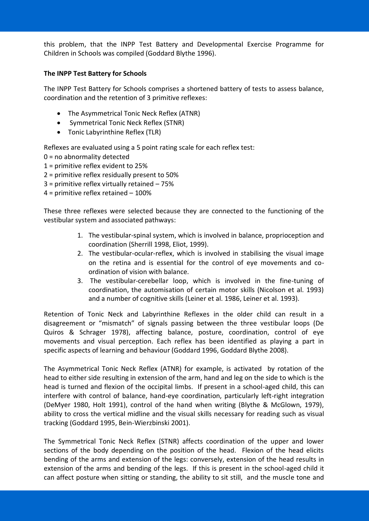this problem, that the INPP Test Battery and Developmental Exercise Programme for Children in Schools was compiled (Goddard Blythe 1996).

#### **The INPP Test Battery for Schools**

The INPP Test Battery for Schools comprises a shortened battery of tests to assess balance, coordination and the retention of 3 primitive reflexes:

- The Asymmetrical Tonic Neck Reflex (ATNR)
- Symmetrical Tonic Neck Reflex (STNR)
- Tonic Labyrinthine Reflex (TLR)

Reflexes are evaluated using a 5 point rating scale for each reflex test:

- $0 =$  no abnormality detected
- 1 = primitive reflex evident to 25%
- 2 = primitive reflex residually present to 50%
- 3 = primitive reflex virtually retained 75%
- 4 = primitive reflex retained 100%

These three reflexes were selected because they are connected to the functioning of the vestibular system and associated pathways:

- 1. The vestibular-spinal system, which is involved in balance, proprioception and coordination (Sherrill 1998, Eliot, 1999).
- 2. The vestibular-ocular-reflex, which is involved in stabilising the visual image on the retina and is essential for the control of eye movements and coordination of vision with balance.
- 3. The vestibular-cerebellar loop, which is involved in the fine-tuning of coordination, the automisation of certain motor skills (Nicolson et al. 1993) and a number of cognitive skills (Leiner et al. 1986, Leiner et al. 1993).

Retention of Tonic Neck and Labyrinthine Reflexes in the older child can result in a disagreement or "mismatch" of signals passing between the three vestibular loops (De Quiros & Schrager 1978), affecting balance, posture, coordination, control of eye movements and visual perception. Each reflex has been identified as playing a part in specific aspects of learning and behaviour (Goddard 1996, Goddard Blythe 2008).

The Asymmetrical Tonic Neck Reflex (ATNR) for example, is activated by rotation of the head to either side resulting in extension of the arm, hand and leg on the side to which is the head is turned and flexion of the occipital limbs. If present in a school-aged child, this can interfere with control of balance, hand-eye coordination, particularly left-right integration (DeMyer 1980, Holt 1991), control of the hand when writing (Blythe & McGlown, 1979), ability to cross the vertical midline and the visual skills necessary for reading such as visual tracking (Goddard 1995, Bein-Wierzbinski 2001).

The Symmetrical Tonic Neck Reflex (STNR) affects coordination of the upper and lower sections of the body depending on the position of the head. Flexion of the head elicits bending of the arms and extension of the legs: conversely, extension of the head results in extension of the arms and bending of the legs. If this is present in the school-aged child it can affect posture when sitting or standing, the ability to sit still, and the muscle tone and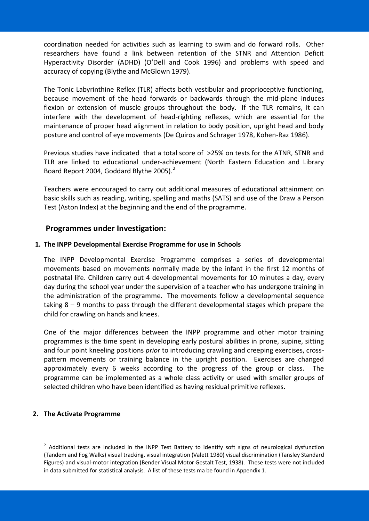coordination needed for activities such as learning to swim and do forward rolls. Other researchers have found a link between retention of the STNR and Attention Deficit Hyperactivity Disorder (ADHD) (O'Dell and Cook 1996) and problems with speed and accuracy of copying (Blythe and McGlown 1979).

The Tonic Labyrinthine Reflex (TLR) affects both vestibular and proprioceptive functioning, because movement of the head forwards or backwards through the mid-plane induces flexion or extension of muscle groups throughout the body. If the TLR remains, it can interfere with the development of head-righting reflexes, which are essential for the maintenance of proper head alignment in relation to body position, upright head and body posture and control of eye movements (De Quiros and Schrager 1978, Kohen-Raz 1986).

Previous studies have indicated that a total score of >25% on tests for the ATNR, STNR and TLR are linked to educational under-achievement (North Eastern Education and Library Board Report 2004, Goddard Blythe 2005).<sup>2</sup>

Teachers were encouraged to carry out additional measures of educational attainment on basic skills such as reading, writing, spelling and maths (SATS) and use of the Draw a Person Test (Aston Index) at the beginning and the end of the programme.

## **Programmes under Investigation:**

#### **1. The INPP Developmental Exercise Programme for use in Schools**

The INPP Developmental Exercise Programme comprises a series of developmental movements based on movements normally made by the infant in the first 12 months of postnatal life. Children carry out 4 developmental movements for 10 minutes a day, every day during the school year under the supervision of a teacher who has undergone training in the administration of the programme. The movements follow a developmental sequence taking 8 – 9 months to pass through the different developmental stages which prepare the child for crawling on hands and knees.

One of the major differences between the INPP programme and other motor training programmes is the time spent in developing early postural abilities in prone, supine, sitting and four point kneeling positions *prior* to introducing crawling and creeping exercises, crosspattern movements or training balance in the upright position. Exercises are changed approximately every 6 weeks according to the progress of the group or class. The programme can be implemented as a whole class activity or used with smaller groups of selected children who have been identified as having residual primitive reflexes.

#### **2. The Activate Programme**

<u>.</u>

 $2$  Additional tests are included in the INPP Test Battery to identify soft signs of neurological dysfunction (Tandem and Fog Walks) visual tracking, visual integration (Valett 1980) visual discrimination (Tansley Standard Figures) and visual-motor integration (Bender Visual Motor Gestalt Test, 1938). These tests were not included in data submitted for statistical analysis. A list of these tests ma be found in Appendix 1.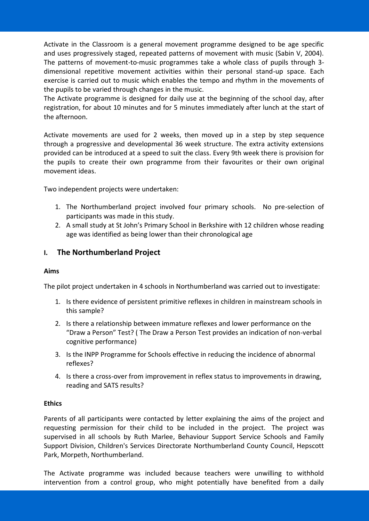Activate in the Classroom is a general movement programme designed to be age specific and uses progressively staged, repeated patterns of movement with music (Sabin V, 2004). The patterns of movement-to-music programmes take a whole class of pupils through 3 dimensional repetitive movement activities within their personal stand-up space. Each exercise is carried out to music which enables the tempo and rhythm in the movements of the pupils to be varied through changes in the music.

The Activate programme is designed for daily use at the beginning of the school day, after registration, for about 10 minutes and for 5 minutes immediately after lunch at the start of the afternoon.

Activate movements are used for 2 weeks, then moved up in a step by step sequence through a progressive and developmental 36 week structure. The extra activity extensions provided can be introduced at a speed to suit the class. Every 9th week there is provision for the pupils to create their own programme from their favourites or their own original movement ideas.

Two independent projects were undertaken:

- 1. The Northumberland project involved four primary schools. No pre-selection of participants was made in this study.
- 2. A small study at St John's Primary School in Berkshire with 12 children whose reading age was identified as being lower than their chronological age

## **I. The Northumberland Project**

#### **Aims**

The pilot project undertaken in 4 schools in Northumberland was carried out to investigate:

- 1. Is there evidence of persistent primitive reflexes in children in mainstream schools in this sample?
- 2. Is there a relationship between immature reflexes and lower performance on the "Draw a Person" Test? ( The Draw a Person Test provides an indication of non-verbal cognitive performance)
- 3. Is the INPP Programme for Schools effective in reducing the incidence of abnormal reflexes?
- 4. Is there a cross-over from improvement in reflex status to improvements in drawing, reading and SATS results?

#### **Ethics**

Parents of all participants were contacted by letter explaining the aims of the project and requesting permission for their child to be included in the project. The project was supervised in all schools by Ruth Marlee, Behaviour Support Service Schools and Family Support Division, Children's Services Directorate Northumberland County Council, Hepscott Park, Morpeth, Northumberland.

The Activate programme was included because teachers were unwilling to withhold intervention from a control group, who might potentially have benefited from a daily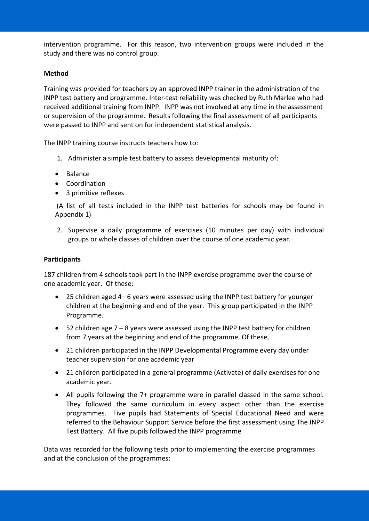intervention programme. For this reason, two intervention groups were included in the study and there was no control group.

#### **Method**

Training was provided for teachers by an approved INPP trainer in the administration of the INPP test battery and programme. Inter-test reliability was checked by Ruth Marlee who had received additional training from INPP. INPP was not involved at any time in the assessment or supervision of the programme. Results following the final assessment of all participants were passed to INPP and sent on for independent statistical analysis.

The INPP training course instructs teachers how to:

- 1. Administer a simple test battery to assess developmental maturity of:
- Balance
- Coordination
- 3 primitive reflexes

(A list of all tests included in the INPP test batteries for schools may be found in Appendix 1)

2. Supervise a daily programme of exercises (10 minutes per day) with individual groups or whole classes of children over the course of one academic year.

#### **Participants**

187 children from 4 schools took part in the INPP exercise programme over the course of one academic year. Of these:

- 25 children aged 4– 6 years were assessed using the INPP test battery for younger children at the beginning and end of the year. This group participated in the INPP Programme.
- $\bullet$  52 children age 7 8 years were assessed using the INPP test battery for children from 7 years at the beginning and end of the programme. Of these,
- 21 children participated in the INPP Developmental Programme every day under teacher supervision for one academic year
- 21 children participated in a general programme (Activate) of daily exercises for one academic year.
- All pupils following the 7+ programme were in parallel classed in the same school. They followed the same curriculum in every aspect other than the exercise programmes. Five pupils had Statements of Special Educational Need and were referred to the Behaviour Support Service before the first assessment using The INPP Test Battery. All five pupils followed the INPP programme

Data was recorded for the following tests prior to implementing the exercise programmes and at the conclusion of the programmes: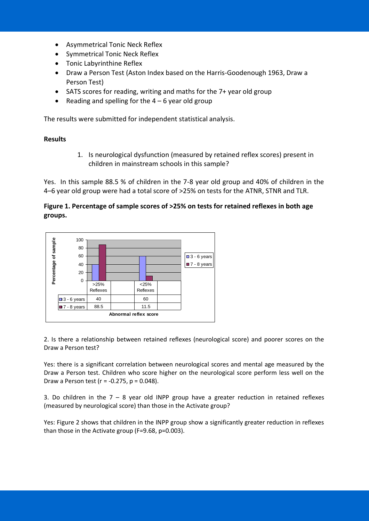- Asymmetrical Tonic Neck Reflex
- Symmetrical Tonic Neck Reflex
- Tonic Labyrinthine Reflex
- Draw a Person Test (Aston Index based on the Harris-Goodenough 1963, Draw a Person Test)
- SATS scores for reading, writing and maths for the 7+ year old group
- Reading and spelling for the  $4 6$  year old group

The results were submitted for independent statistical analysis.

#### **Results**

1. Is neurological dysfunction (measured by retained reflex scores) present in children in mainstream schools in this sample?

Yes. In this sample 88.5 % of children in the 7-8 year old group and 40% of children in the 4–6 year old group were had a total score of >25% on tests for the ATNR, STNR and TLR.

#### **Figure 1. Percentage of sample scores of >25% on tests for retained reflexes in both age groups.**



2. Is there a relationship between retained reflexes (neurological score) and poorer scores on the Draw a Person test?

Yes: there is a significant correlation between neurological scores and mental age measured by the Draw a Person test. Children who score higher on the neurological score perform less well on the Draw a Person test ( $r = -0.275$ ,  $p = 0.048$ ).

3. Do children in the  $7 - 8$  year old INPP group have a greater reduction in retained reflexes (measured by neurological score) than those in the Activate group?

Yes: Figure 2 shows that children in the INPP group show a significantly greater reduction in reflexes than those in the Activate group (F=9.68, p=0.003).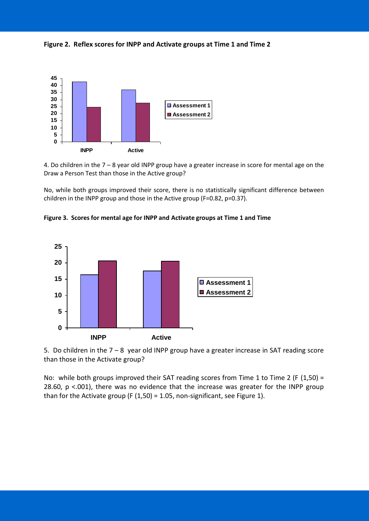**Figure 2. Reflex scores for INPP and Activate groups at Time 1 and Time 2**



4. Do children in the 7 – 8 year old INPP group have a greater increase in score for mental age on the Draw a Person Test than those in the Active group?

No, while both groups improved their score, there is no statistically significant difference between children in the INPP group and those in the Active group (F=0.82, p=0.37).





5. Do children in the 7 – 8 year old INPP group have a greater increase in SAT reading score than those in the Activate group?

No: while both groups improved their SAT reading scores from Time 1 to Time 2 (F (1,50) = 28.60, p <.001), there was no evidence that the increase was greater for the INPP group than for the Activate group (F (1,50) = 1.05, non-significant, see Figure 1).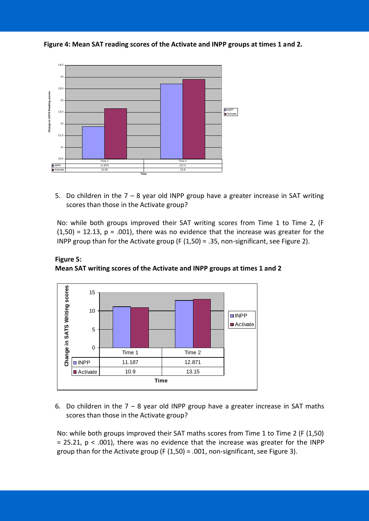



5. Do children in the  $7 - 8$  year old INPP group have a greater increase in SAT writing scores than those in the Activate group?

No: while both groups improved their SAT writing scores from Time 1 to Time 2, (F  $(1,50) = 12.13$ ,  $p = .001$ , there was no evidence that the increase was greater for the INPP group than for the Activate group (F (1,50) = .35, non-significant, see Figure 2).



**Figure 5: Mean SAT writing scores of the Activate and INPP groups at times 1 and 2**

6. Do children in the  $7 - 8$  year old INPP group have a greater increase in SAT maths scores than those in the Activate group?

No: while both groups improved their SAT maths scores from Time 1 to Time 2 (F (1,50)  $= 25.21$ ,  $p < .001$ ), there was no evidence that the increase was greater for the INPP group than for the Activate group (F  $(1,50)$  = .001, non-significant, see Figure 3).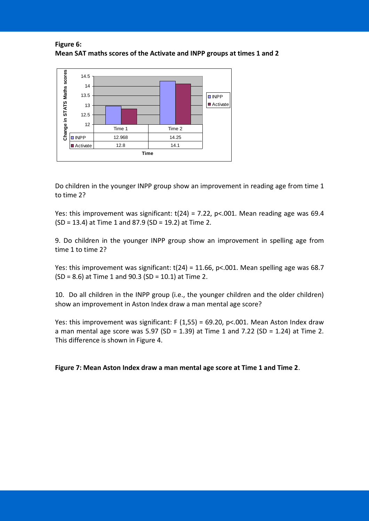**Figure 6: Mean SAT maths scores of the Activate and INPP groups at times 1 and 2**



Do children in the younger INPP group show an improvement in reading age from time 1 to time 2?

Yes: this improvement was significant:  $t(24) = 7.22$ ,  $p<0.01$ . Mean reading age was 69.4 (SD = 13.4) at Time 1 and 87.9 (SD = 19.2) at Time 2.

9. Do children in the younger INPP group show an improvement in spelling age from time 1 to time 2?

Yes: this improvement was significant:  $t(24) = 11.66$ ,  $p<.001$ . Mean spelling age was 68.7 (SD = 8.6) at Time 1 and 90.3 (SD = 10.1) at Time 2.

10. Do all children in the INPP group (i.e., the younger children and the older children) show an improvement in Aston Index draw a man mental age score?

Yes: this improvement was significant: F (1,55) = 69.20, p<.001. Mean Aston Index draw a man mental age score was 5.97 (SD = 1.39) at Time 1 and 7.22 (SD = 1.24) at Time 2. This difference is shown in Figure 4.

**Figure 7: Mean Aston Index draw a man mental age score at Time 1 and Time 2**.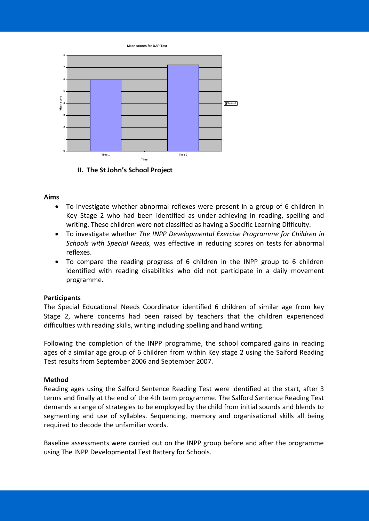**Mean scores for DAP Test**



**II. The St John's School Project**

#### **Aims**

- To investigate whether abnormal reflexes were present in a group of 6 children in Key Stage 2 who had been identified as under-achieving in reading, spelling and writing. These children were not classified as having a Specific Learning Difficulty.
- To investigate whether *The INPP Developmental Exercise Programme for Children in Schools with Special Needs,* was effective in reducing scores on tests for abnormal reflexes.
- To compare the reading progress of 6 children in the INPP group to 6 children identified with reading disabilities who did not participate in a daily movement programme.

#### **Participants**

The Special Educational Needs Coordinator identified 6 children of similar age from key Stage 2, where concerns had been raised by teachers that the children experienced difficulties with reading skills, writing including spelling and hand writing.

Following the completion of the INPP programme, the school compared gains in reading ages of a similar age group of 6 children from within Key stage 2 using the Salford Reading Test results from September 2006 and September 2007.

#### **Method**

Reading ages using the Salford Sentence Reading Test were identified at the start, after 3 terms and finally at the end of the 4th term programme. The Salford Sentence Reading Test demands a range of strategies to be employed by the child from initial sounds and blends to segmenting and use of syllables. Sequencing, memory and organisational skills all being required to decode the unfamiliar words.

Baseline assessments were carried out on the INPP group before and after the programme using The INPP Developmental Test Battery for Schools.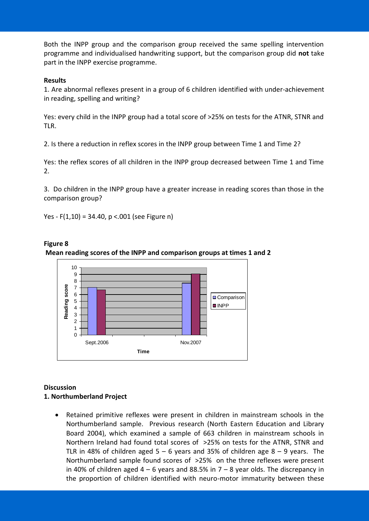Both the INPP group and the comparison group received the same spelling intervention programme and individualised handwriting support, but the comparison group did **not** take part in the INPP exercise programme.

#### **Results**

1. Are abnormal reflexes present in a group of 6 children identified with under-achievement in reading, spelling and writing?

Yes: every child in the INPP group had a total score of >25% on tests for the ATNR, STNR and TLR.

2. Is there a reduction in reflex scores in the INPP group between Time 1 and Time 2?

Yes: the reflex scores of all children in the INPP group decreased between Time 1 and Time 2.

3. Do children in the INPP group have a greater increase in reading scores than those in the comparison group?

Yes -  $F(1,10) = 34.40$ , p <.001 (see Figure n)





## **Discussion**

#### **1. Northumberland Project**

 Retained primitive reflexes were present in children in mainstream schools in the Northumberland sample. Previous research (North Eastern Education and Library Board 2004), which examined a sample of 663 children in mainstream schools in Northern Ireland had found total scores of >25% on tests for the ATNR, STNR and TLR in 48% of children aged  $5 - 6$  years and 35% of children age  $8 - 9$  years. The Northumberland sample found scores of >25% on the three reflexes were present in 40% of children aged  $4 - 6$  years and 88.5% in  $7 - 8$  year olds. The discrepancy in the proportion of children identified with neuro-motor immaturity between these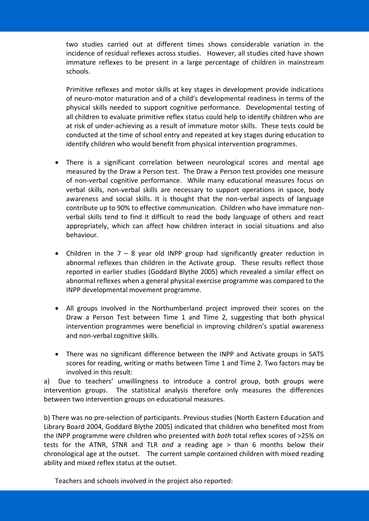two studies carried out at different times shows considerable variation in the incidence of residual reflexes across studies. However, all studies cited have shown immature reflexes to be present in a large percentage of children in mainstream schools.

Primitive reflexes and motor skills at key stages in development provide indications of neuro-motor maturation and of a child's developmental readiness in terms of the physical skills needed to support cognitive performance. Developmental testing of all children to evaluate primitive reflex status could help to identify children who are at risk of under-achieving as a result of immature motor skills. These tests could be conducted at the time of school entry and repeated at key stages during education to identify children who would benefit from physical intervention programmes.

- There is a significant correlation between neurological scores and mental age measured by the Draw a Person test. The Draw a Person test provides one measure of non-verbal cognitive performance. While many educational measures focus on verbal skills, non-verbal skills are necessary to support operations in space, body awareness and social skills. It is thought that the non-verbal aspects of language contribute up to 90% to effective communication. Children who have immature nonverbal skills tend to find it difficult to read the body language of others and react appropriately, which can affect how children interact in social situations and also behaviour.
- Children in the  $7 8$  year old INPP group had significantly greater reduction in abnormal reflexes than children in the Activate group. These results reflect those reported in earlier studies (Goddard Blythe 2005) which revealed a similar effect on abnormal reflexes when a general physical exercise programme was compared to the INPP developmental movement programme.
- All groups involved in the Northumberland project improved their scores on the Draw a Person Test between Time 1 and Time 2, suggesting that both physical intervention programmes were beneficial in improving children's spatial awareness and non-verbal cognitive skills.
- There was no significant difference between the INPP and Activate groups in SATS scores for reading, writing or maths between Time 1 and Time 2. Two factors may be involved in this result:

a) Due to teachers' unwillingness to introduce a control group, both groups were intervention groups. The statistical analysis therefore only measures the differences between two intervention groups on educational measures.

b) There was no pre-selection of participants. Previous studies (North Eastern Education and Library Board 2004, Goddard Blythe 2005) indicated that children who benefited most from the INPP programme were children who presented with *both* total reflex scores of >25% on tests for the ATNR, STNR and TLR *and* a reading age > than 6 months below their chronological age at the outset. The current sample contained children with mixed reading ability and mixed reflex status at the outset.

Teachers and schools involved in the project also reported: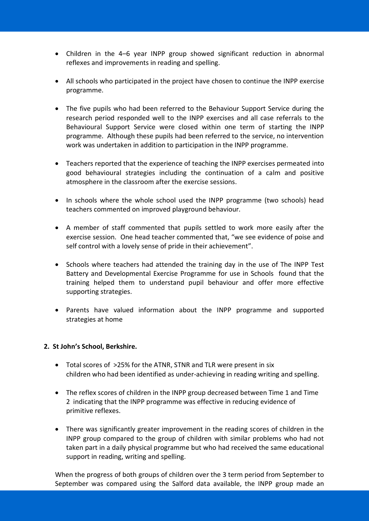- Children in the 4–6 year INPP group showed significant reduction in abnormal reflexes and improvements in reading and spelling.
- All schools who participated in the project have chosen to continue the INPP exercise programme.
- The five pupils who had been referred to the Behaviour Support Service during the research period responded well to the INPP exercises and all case referrals to the Behavioural Support Service were closed within one term of starting the INPP programme. Although these pupils had been referred to the service, no intervention work was undertaken in addition to participation in the INPP programme.
- Teachers reported that the experience of teaching the INPP exercises permeated into good behavioural strategies including the continuation of a calm and positive atmosphere in the classroom after the exercise sessions.
- In schools where the whole school used the INPP programme (two schools) head teachers commented on improved playground behaviour.
- A member of staff commented that pupils settled to work more easily after the exercise session. One head teacher commented that, "we see evidence of poise and self control with a lovely sense of pride in their achievement".
- Schools where teachers had attended the training day in the use of The INPP Test Battery and Developmental Exercise Programme for use in Schools found that the training helped them to understand pupil behaviour and offer more effective supporting strategies.
- Parents have valued information about the INPP programme and supported strategies at home

#### **2. St John's School, Berkshire.**

- Total scores of >25% for the ATNR, STNR and TLR were present in six children who had been identified as under-achieving in reading writing and spelling.
- The reflex scores of children in the INPP group decreased between Time 1 and Time 2 indicating that the INPP programme was effective in reducing evidence of primitive reflexes.
- There was significantly greater improvement in the reading scores of children in the INPP group compared to the group of children with similar problems who had not taken part in a daily physical programme but who had received the same educational support in reading, writing and spelling.

When the progress of both groups of children over the 3 term period from September to September was compared using the Salford data available, the INPP group made an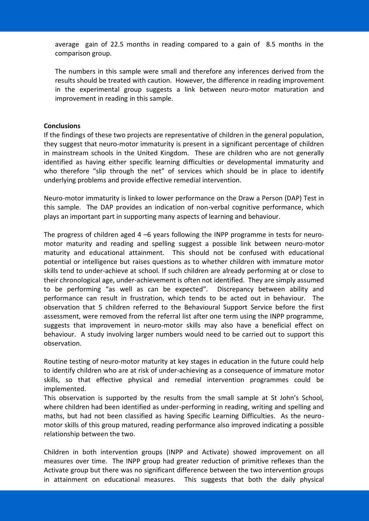average gain of 22.5 months in reading compared to a gain of 8.5 months in the comparison group.

The numbers in this sample were small and therefore any inferences derived from the results should be treated with caution. However, the difference in reading improvement in the experimental group suggests a link between neuro-motor maturation and improvement in reading in this sample.

#### **Conclusions**

If the findings of these two projects are representative of children in the general population, they suggest that neuro-motor immaturity is present in a significant percentage of children in mainstream schools in the United Kingdom. These are children who are not generally identified as having either specific learning difficulties or developmental immaturity and who therefore "slip through the net" of services which should be in place to identify underlying problems and provide effective remedial intervention.

Neuro-motor immaturity is linked to lower performance on the Draw a Person (DAP) Test in this sample. The DAP provides an indication of non-verbal cognitive performance, which plays an important part in supporting many aspects of learning and behaviour.

The progress of children aged 4 –6 years following the INPP programme in tests for neuromotor maturity and reading and spelling suggest a possible link between neuro-motor maturity and educational attainment. This should not be confused with educational potential or intelligence but raises questions as to whether children with immature motor skills tend to under-achieve at school. If such children are already performing at or close to their chronological age, under-achievement is often not identified. They are simply assumed to be performing "as well as can be expected". Discrepancy between ability and performance can result in frustration, which tends to be acted out in behaviour. The observation that 5 children referred to the Behavioural Support Service before the first assessment, were removed from the referral list after one term using the INPP programme, suggests that improvement in neuro-motor skills may also have a beneficial effect on behaviour. A study involving larger numbers would need to be carried out to support this observation.

Routine testing of neuro-motor maturity at key stages in education in the future could help to identify children who are at risk of under-achieving as a consequence of immature motor skills, so that effective physical and remedial intervention programmes could be implemented.

This observation is supported by the results from the small sample at St John's School, where children had been identified as under-performing in reading, writing and spelling and maths, but had not been classified as having Specific Learning Difficulties. As the neuromotor skills of this group matured, reading performance also improved indicating a possible relationship between the two.

Children in both intervention groups (INPP and Activate) showed improvement on all measures over time. The INPP group had greater reduction of primitive reflexes than the Activate group but there was no significant difference between the two intervention groups in attainment on educational measures. This suggests that both the daily physical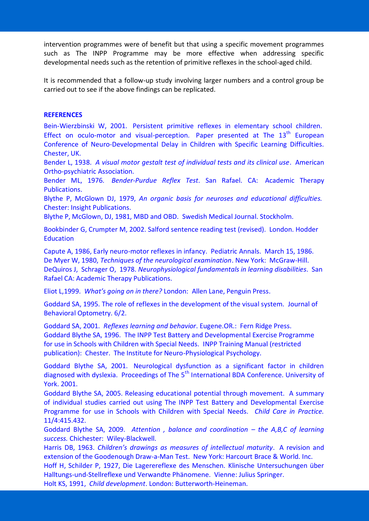intervention programmes were of benefit but that using a specific movement programmes such as The INPP Programme may be more effective when addressing specific developmental needs such as the retention of primitive reflexes in the school-aged child.

It is recommended that a follow-up study involving larger numbers and a control group be carried out to see if the above findings can be replicated.

#### **REFERENCES**

Bein-Wierzbinski W, 2001. Persistent primitive reflexes in elementary school children. Effect on oculo-motor and visual-perception. Paper presented at The  $13<sup>th</sup>$  European Conference of Neuro-Developmental Delay in Children with Specific Learning Difficulties. Chester, UK.

Bender L, 1938. *A visual motor gestalt test of individual tests and its clinical use*. American Ortho-psychiatric Association.

Bender ML, 1976. *Bender-Purdue Reflex Test*. San Rafael. CA: Academic Therapy Publications.

Blythe P, McGlown DJ, 1979, *An organic basis for neuroses and educational difficulties.* Chester: Insight Publications.

Blythe P, McGlown, DJ, 1981, MBD and OBD. Swedish Medical Journal. Stockholm.

Bookbinder G, Crumpter M, 2002. Salford sentence reading test (revised). London. Hodder **Education** 

Capute A, 1986, Early neuro-motor reflexes in infancy. Pediatric Annals. March 15, 1986. De Myer W, 1980, *Techniques of the neurological examination*. New York: McGraw-Hill. DeQuiros J, Schrager O, 1978. *Neurophysiological fundamentals in learning disabilities*. San Rafael CA: Academic Therapy Publications.

Eliot L,1999. *What's going on in there?* London: Allen Lane, Penguin Press.

Goddard SA, 1995. The role of reflexes in the development of the visual system. Journal of Behavioral Optometry. 6/2.

Goddard SA, 2001. *Reflexes learning and behavior*. Eugene.OR.: Fern Ridge Press. Goddard Blythe SA, 1996. The INPP Test Battery and Developmental Exercise Programme for use in Schools with Children with Special Needs. INPP Training Manual (restricted publication): Chester. The Institute for Neuro-Physiological Psychology.

Goddard Blythe SA, 2001. Neurological dysfunction as a significant factor in children diagnosed with dyslexia. Proceedings of The 5<sup>th</sup> International BDA Conference. University of York. 2001.

Goddard Blythe SA, 2005. Releasing educational potential through movement. A summary of individual studies carried out using The INPP Test Battery and Developmental Exercise Programme for use in Schools with Children with Special Needs. *Child Care in Practice.* 11/4:415.432.

Goddard Blythe SA, 2009. *Attention , balance and coordination – the A,B,C of learning success.* Chichester: Wiley-Blackwell.

Harris DB, 1963. *Children's drawings as measures of intellectual maturity*. A revision and extension of the Goodenough Draw-a-Man Test. New York: Harcourt Brace & World. Inc.

Hoff H, Schilder P, 1927, Die Lagerereflexe des Menschen. Klinische Untersuchungen über Halltungs-und-Stellreflexe und Verwandte Phänomene. Vienne: Julius Springer.

Holt KS, 1991, *Child development*. London: Butterworth-Heineman.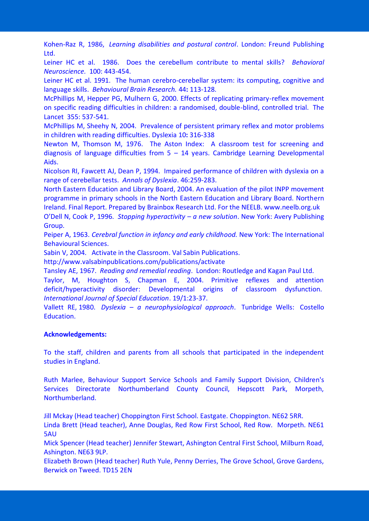Kohen-Raz R, 1986, *Learning disabilities and postural control*. London: Freund Publishing Ltd.

Leiner HC et al. 1986. Does the cerebellum contribute to mental skills? *Behavioral Neuroscience.* 100: 443-454.

Leiner HC et al. 1991. The human cerebro-cerebellar system: its computing, cognitive and language skills. *Behavioural Brain Research.* 44**:** 113-128.

McPhillips M, Hepper PG, Mulhern G, 2000. Effects of replicating primary-reflex movement on specific reading difficulties in children: a randomised, double-blind, controlled trial. The Lancet 355: 537-541.

McPhillips M, Sheehy N, 2004. Prevalence of persistent primary reflex and motor problems in children with reading difficulties. Dyslexia 10**:** 316-338

Newton M, Thomson M, 1976. The Aston Index: A classroom test for screening and diagnosis of language difficulties from  $5 - 14$  years. Cambridge Learning Developmental Aids.

Nicolson RI, Fawcett AJ, Dean P, 1994. Impaired performance of children with dyslexia on a range of cerebellar tests. *Annals of Dyslexia*. 46:259-283.

North Eastern Education and Library Board, 2004. An evaluation of the pilot INPP movement programme in primary schools in the North Eastern Education and Library Board. Northern Ireland. Final Report. Prepared by Brainbox Research Ltd. For the NEELB. www.neelb.org.uk

O'Dell N, Cook P, 1996. *Stopping hyperactivity – a new solution*. New York: Avery Publishing Group.

Peiper A, 1963. *Cerebral function in infancy and early childhood.* New York: The International Behavioural Sciences.

Sabin V, 2004. Activate in the Classroom. Val Sabin Publications.

http://www.valsabinpublications.com/publications/activate

Tansley AE, 1967. *Reading and remedial reading*. London: Routledge and Kagan Paul Ltd.

Taylor, M, Houghton S, Chapman E, 2004. Primitive reflexes and attention deficit/hyperactivity disorder: Developmental origins of classroom dysfunction. *International Journal of Special Education*. 19/1:23-37.

Vallett RE, 1980. *Dyslexia* – *a neurophysiological approach*. Tunbridge Wells: Costello Education.

#### **Acknowledgements:**

To the staff, children and parents from all schools that participated in the independent studies in England.

Ruth Marlee, Behaviour Support Service Schools and Family Support Division, Children's Services Directorate Northumberland County Council, Hepscott Park, Morpeth, Northumberland.

Jill Mckay (Head teacher) Choppington First School. Eastgate. Choppington. NE62 5RR.

Linda Brett (Head teacher), Anne Douglas, Red Row First School, Red Row. Morpeth. NE61 5AU

Mick Spencer (Head teacher) Jennifer Stewart, Ashington Central First School, Milburn Road, Ashington. NE63 9LP.

Elizabeth Brown (Head teacher) Ruth Yule, Penny Derries, The Grove School, Grove Gardens, Berwick on Tweed. TD15 2EN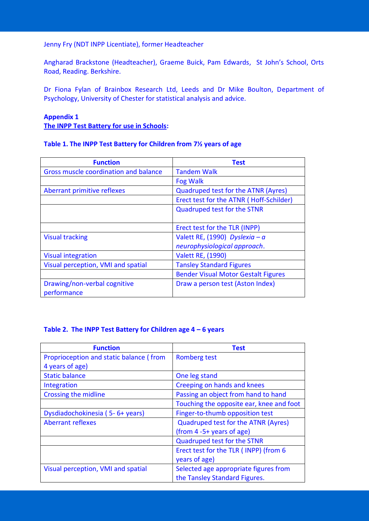#### Jenny Fry (NDT INPP Licentiate), former Headteacher

Angharad Brackstone (Headteacher), Graeme Buick, Pam Edwards, St John's School, Orts Road, Reading. Berkshire.

Dr Fiona Fylan of Brainbox Research Ltd, Leeds and Dr Mike Boulton, Department of Psychology, University of Chester for statistical analysis and advice.

## **Appendix 1 The INPP Test Battery for use in Schools:**

|  |  | Table 1. The INPP Test Battery for Children from 71/2 years of age |  |  |  |  |
|--|--|--------------------------------------------------------------------|--|--|--|--|
|--|--|--------------------------------------------------------------------|--|--|--|--|

| <b>Function</b>                       | <b>Test</b>                                |
|---------------------------------------|--------------------------------------------|
| Gross muscle coordination and balance | <b>Tandem Walk</b>                         |
|                                       | <b>Fog Walk</b>                            |
| Aberrant primitive reflexes           | <b>Quadruped test for the ATNR (Ayres)</b> |
|                                       | Erect test for the ATNR (Hoff-Schilder)    |
|                                       | <b>Quadruped test for the STNR</b>         |
|                                       | Erect test for the TLR (INPP)              |
|                                       |                                            |
| <b>Visual tracking</b>                | Valett RE, (1990) Dyslexia - $a$           |
|                                       | neurophysiological approach.               |
| <b>Visual integration</b>             | <b>Valett RE, (1990)</b>                   |
| Visual perception, VMI and spatial    | <b>Tansley Standard Figures</b>            |
|                                       | <b>Bender Visual Motor Gestalt Figures</b> |
| Drawing/non-verbal cognitive          | Draw a person test (Aston Index)           |
| performance                           |                                            |

#### **Table 2. The INPP Test Battery for Children age 4 – 6 years**

| <b>Function</b>                         | Test                                     |  |
|-----------------------------------------|------------------------------------------|--|
| Proprioception and static balance (from | <b>Romberg test</b>                      |  |
| 4 years of age)                         |                                          |  |
| <b>Static balance</b>                   | One leg stand                            |  |
| Integration                             | Creeping on hands and knees              |  |
| Crossing the midline                    | Passing an object from hand to hand      |  |
|                                         | Touching the opposite ear, knee and foot |  |
| Dysdiadochokinesia (5-6+ years)         | Finger-to-thumb opposition test          |  |
| <b>Aberrant reflexes</b>                | Quadruped test for the ATNR (Ayres)      |  |
|                                         | (from 4-5+ years of age)                 |  |
|                                         | <b>Quadruped test for the STNR</b>       |  |
|                                         | Erect test for the TLR (INPP) (from 6    |  |
|                                         | years of age)                            |  |
| Visual perception, VMI and spatial      | Selected age appropriate figures from    |  |
|                                         | the Tansley Standard Figures.            |  |